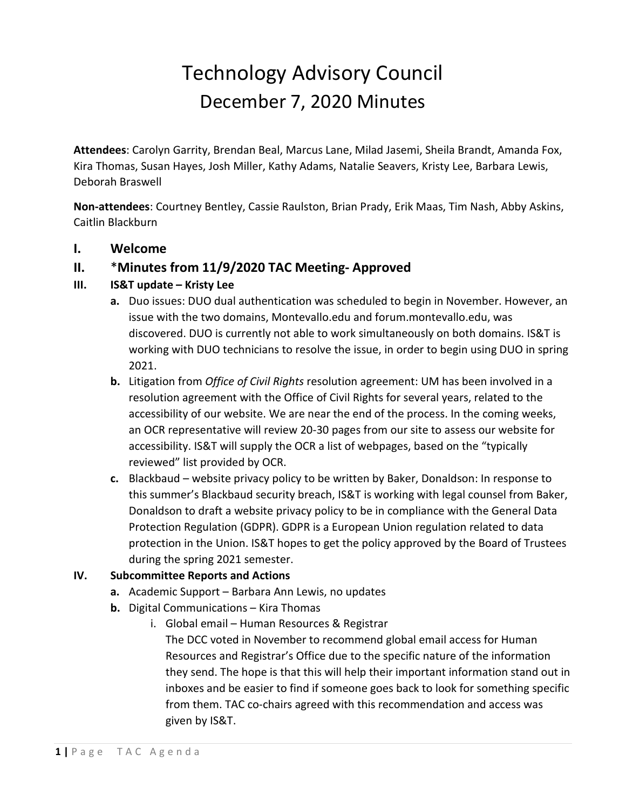# Technology Advisory Council December 7, 2020 Minutes

**Attendees**: Carolyn Garrity, Brendan Beal, Marcus Lane, Milad Jasemi, Sheila Brandt, Amanda Fox, Kira Thomas, Susan Hayes, Josh Miller, Kathy Adams, Natalie Seavers, Kristy Lee, Barbara Lewis, Deborah Braswell

**Non-attendees**: Courtney Bentley, Cassie Raulston, Brian Prady, Erik Maas, Tim Nash, Abby Askins, Caitlin Blackburn

## **I. Welcome**

# **II.** \***Minutes from 11/9/2020 TAC Meeting- Approved**

#### **III. IS&T update – Kristy Lee**

- **a.** Duo issues: DUO dual authentication was scheduled to begin in November. However, an issue with the two domains, Montevallo.edu and forum.montevallo.edu, was discovered. DUO is currently not able to work simultaneously on both domains. IS&T is working with DUO technicians to resolve the issue, in order to begin using DUO in spring 2021.
- **b.** Litigation from *Office of Civil Rights* resolution agreement: UM has been involved in a resolution agreement with the Office of Civil Rights for several years, related to the accessibility of our website. We are near the end of the process. In the coming weeks, an OCR representative will review 20-30 pages from our site to assess our website for accessibility. IS&T will supply the OCR a list of webpages, based on the "typically reviewed" list provided by OCR.
- **c.** Blackbaud website privacy policy to be written by Baker, Donaldson: In response to this summer's Blackbaud security breach, IS&T is working with legal counsel from Baker, Donaldson to draft a website privacy policy to be in compliance with the General Data Protection Regulation (GDPR). GDPR is a European Union regulation related to data protection in the Union. IS&T hopes to get the policy approved by the Board of Trustees during the spring 2021 semester.

#### **IV. Subcommittee Reports and Actions**

- **a.** Academic Support Barbara Ann Lewis, no updates
- **b.** Digital Communications Kira Thomas
	- i. Global email Human Resources & Registrar The DCC voted in November to recommend global email access for Human Resources and Registrar's Office due to the specific nature of the information they send. The hope is that this will help their important information stand out in inboxes and be easier to find if someone goes back to look for something specific from them. TAC co-chairs agreed with this recommendation and access was given by IS&T.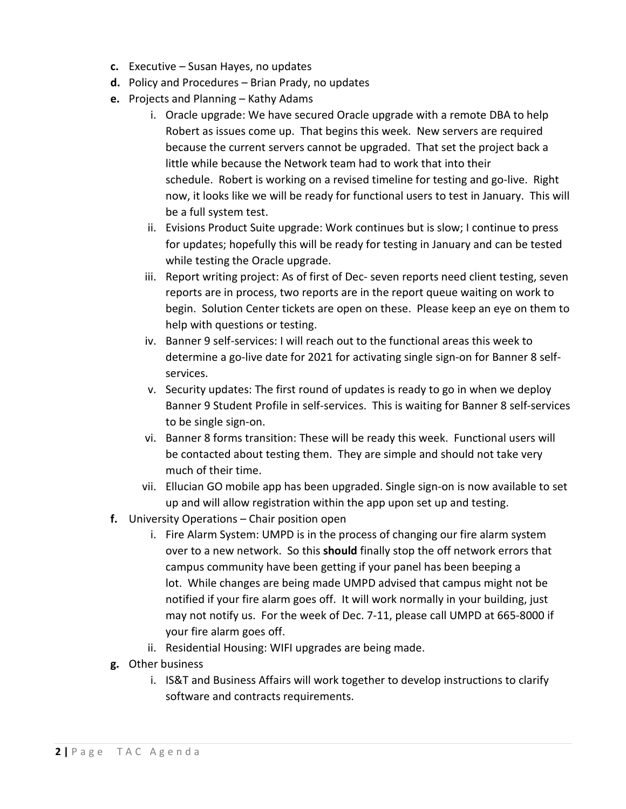- **c.** Executive Susan Hayes, no updates
- **d.** Policy and Procedures Brian Prady, no updates
- **e.** Projects and Planning Kathy Adams
	- i. Oracle upgrade: We have secured Oracle upgrade with a remote DBA to help Robert as issues come up. That begins this week. New servers are required because the current servers cannot be upgraded. That set the project back a little while because the Network team had to work that into their schedule. Robert is working on a revised timeline for testing and go-live. Right now, it looks like we will be ready for functional users to test in January. This will be a full system test.
	- ii. Evisions Product Suite upgrade: Work continues but is slow; I continue to press for updates; hopefully this will be ready for testing in January and can be tested while testing the Oracle upgrade.
	- iii. Report writing project: As of first of Dec- seven reports need client testing, seven reports are in process, two reports are in the report queue waiting on work to begin. Solution Center tickets are open on these. Please keep an eye on them to help with questions or testing.
	- iv. Banner 9 self-services: I will reach out to the functional areas this week to determine a go-live date for 2021 for activating single sign-on for Banner 8 selfservices.
	- v. Security updates: The first round of updates is ready to go in when we deploy Banner 9 Student Profile in self-services. This is waiting for Banner 8 self-services to be single sign-on.
	- vi. Banner 8 forms transition: These will be ready this week. Functional users will be contacted about testing them. They are simple and should not take very much of their time.
	- vii. Ellucian GO mobile app has been upgraded. Single sign-on is now available to set up and will allow registration within the app upon set up and testing.
- **f.** University Operations Chair position open
	- i. Fire Alarm System: UMPD is in the process of changing our fire alarm system over to a new network. So this **should** finally stop the off network errors that campus community have been getting if your panel has been beeping a lot. While changes are being made UMPD advised that campus might not be notified if your fire alarm goes off. It will work normally in your building, just may not notify us. For the week of Dec. 7-11, please call UMPD at 665-8000 if your fire alarm goes off.
	- ii. Residential Housing: WIFI upgrades are being made.
- **g.** Other business
	- i. IS&T and Business Affairs will work together to develop instructions to clarify software and contracts requirements.